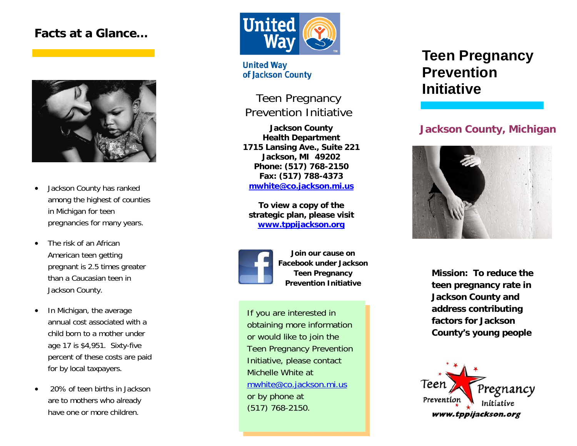# **Facts at a Glance…**



- $\bullet$  Jackson County has ranked among the highest of counties in Michigan for teen pregnancies for many years.
- $\bullet$  The risk of an African American teen getting pregnant is 2.5 times greater than a Caucasian teen in Jackson County.
- $\bullet$  In Michigan, the average annual cost associated with a child born to a mother under age 17 is \$4,951. Sixty-five percent of these costs are paid for by local taxpayers.
- 20% of teen births in Jackson are to mothers who already have one or more children.



**United Way** of Jackson County

Teen Pregnancy Prevention Initiative

**Jackson County Health Department 1715 Lansing Ave., Suite 221 Jackson, MI 49202 Phone: (517) 768-2150 Fax: (517) 788-4373 mwhite@co.jackson.mi.us**

**To view a copy of the strategic plan, please visit www.tppijackson.org**



**Join our cause on Facebook under Jackson Teen Pregnancy Prevention Initiative** 

If you are interested in obtaining more information or would like to join the Teen Pregnancy Prevention Initiative, please contact Michelle White at mwhite@co.jackson.mi.us or by phone at (517) 768-2150.

# **Teen Pregnancy Prevention Initiative**

## **Jackson County, Michigan**



**Mission: To reduce the teen pregnancy rate in Jackson County and address contributing factors for Jackson County's young people**